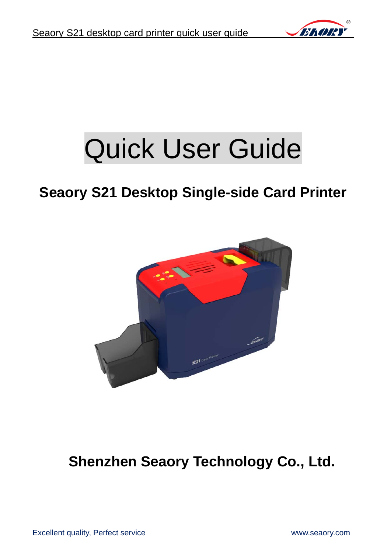

# Quick User Guide

# **Seaory S21 Desktop Single-side Card Printer**



**Shenzhen Seaory Technology Co., Ltd.**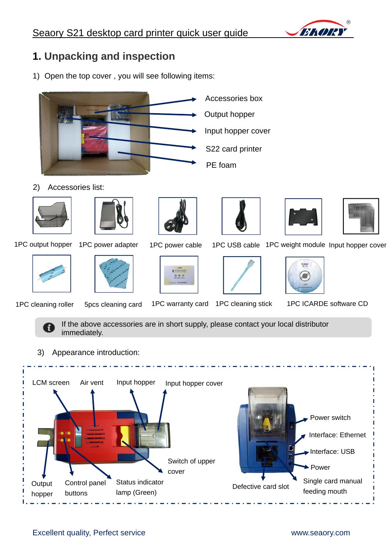

# **1. Unpacking and inspection**

1) Open the top cover , you will see following items:



2) Accessories list:





1PC output hopper 1PC power adapter





1PC power cable 1PC USB cable 1PC weight module Input hopper cover









1PC cleaning roller 5pcs cleaning card 1PC warranty card 1PC cleaning stick 1PC ICARDE software CD

If the above accessories are in short supply, please contact your local distributor immediately.

3) Appearance introduction:

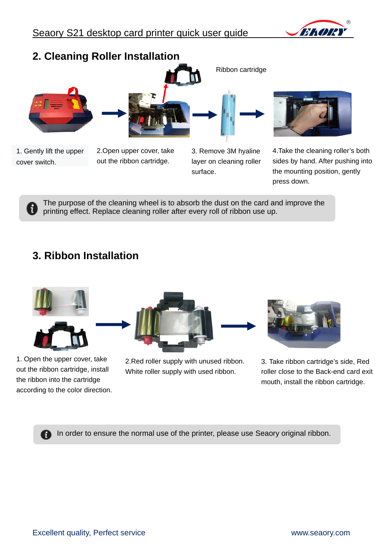



The purpose of the cleaning wheel is to absorb the dust on the card and improve the printing effect. Replace cleaning roller after every roll of ribbon use up.

# **3. Ribbon Installation**



1. Open the upper cover, take out the ribbon cartridge, install the ribbon into the cartridge according to the color direction.

2.Red roller supply with unused ribbon. White roller supply with used ribbon.

3. Take ribbon cartridge's side, Red roller close to the Back-end card exit mouth, install the ribbon cartridge.

In order to ensure the normal use of the printer, please use Seaory original ribbon.A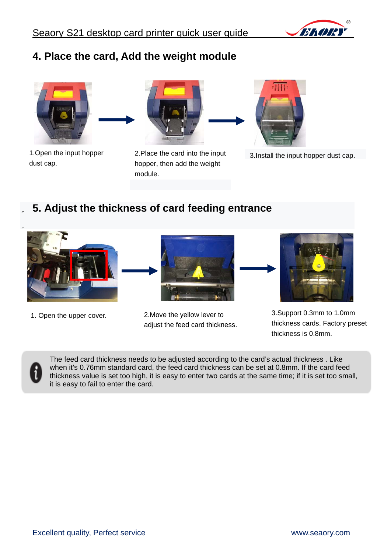

## **4. Place the card, Add the weight module**



1.Open the input hopper dust cap.



2.Place the card into the input hopper, then add the weight module.



3.Install the input hopper dust cap.

#### " **5. Adjust the thickness of card feeding entrance**





1. Open the upper cover. 2.Move the yellow lever to adjust the feed card thickness.



3.Support 0.3mm to 1.0mm thickness cards. Factory preset thickness is 0.8mm.



The feed card thickness needs to be adjusted according to the card's actual thickness . Like when it's 0.76mm standard card, the feed card thickness can be set at 0.8mm. If the card feed thickness value is set too high, it is easy to enter two cards at the same time; if it is set too small, it is easy to fail to enter the card.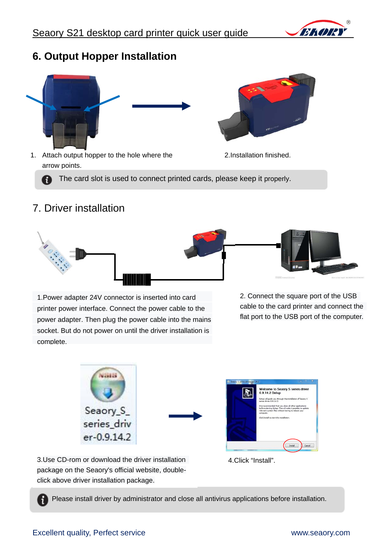

#### **6. Output Hopper Installation**





1. Attach output hopper to the hole where the 2.Installation finished. arrow points.

The card slot is used to connect printed cards, please keep it properly. A

#### 7. Driver installation



1.Power adapter 24V connector is inserted into card printer power interface. Connect the power cable to the power adapter. Then plug the power cable into the mains socket. But do not power on until the driver installation is complete.

2. Connect the square port of the USB cable to the card printer and connect the flat port to the USB port of the computer.





3.Use CD-rom or download the driver installation package on the Seaory's official website, double4.Click "Install".

Please install driver by administrator and close all antivirus applications before installation.

click above driver installation package.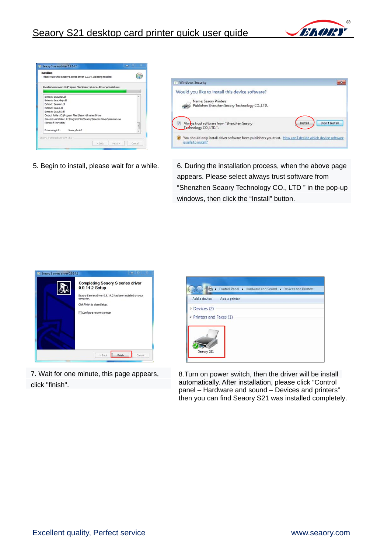





5. Begin to install, please wait for a while. 6. During the installation process, when the above page appears. Please select always trust software from "Shenzhen Seaory Technology CO., LTD " in the pop-up windows, then click the "Install" button.



7. Wait for one minute, this page appears, click "finish".



8.Turn on power switch, then the driver will be install automatically. After installation, please click "Control panel – Hardware and sound – Devices and printers" then you can find Seaory S21 was installed completely.